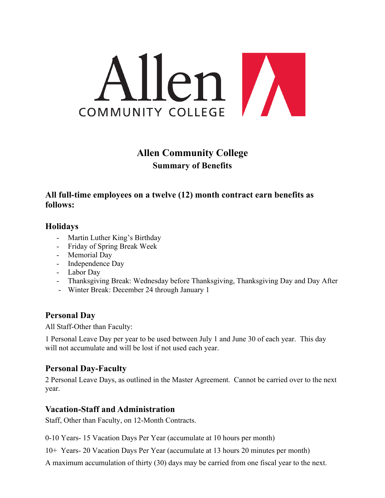

# **Allen Community College Summary of Benefits**

# **All full-time employees on a twelve (12) month contract earn benefits as follows:**

## **Holidays**

- Martin Luther King's Birthday
- Friday of Spring Break Week
- Memorial Day
- Independence Day
- Labor Day
- Thanksgiving Break: Wednesday before Thanksgiving, Thanksgiving Day and Day After
- Winter Break: December 24 through January 1

# **Personal Day**

All Staff-Other than Faculty:

1 Personal Leave Day per year to be used between July 1 and June 30 of each year. This day will not accumulate and will be lost if not used each year.

# **Personal Day-Faculty**

2 Personal Leave Days, as outlined in the Master Agreement. Cannot be carried over to the next year.

# **Vacation-Staff and Administration**

Staff, Other than Faculty, on 12-Month Contracts.

0-10 Years- 15 Vacation Days Per Year (accumulate at 10 hours per month)

10+ Years- 20 Vacation Days Per Year (accumulate at 13 hours 20 minutes per month)

A maximum accumulation of thirty (30) days may be carried from one fiscal year to the next.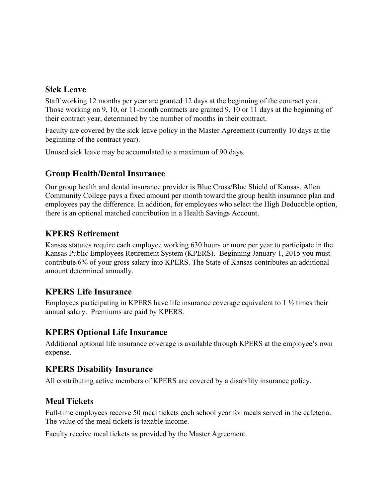#### **Sick Leave**

Staff working 12 months per year are granted 12 days at the beginning of the contract year. Those working on 9, 10, or 11-month contracts are granted 9, 10 or 11 days at the beginning of their contract year, determined by the number of months in their contract.

Faculty are covered by the sick leave policy in the Master Agreement (currently 10 days at the beginning of the contract year).

Unused sick leave may be accumulated to a maximum of 90 days.

# **Group Health/Dental Insurance**

Our group health and dental insurance provider is Blue Cross/Blue Shield of Kansas. Allen Community College pays a fixed amount per month toward the group health insurance plan and employees pay the difference. In addition, for employees who select the High Deductible option, there is an optional matched contribution in a Health Savings Account.

#### **KPERS Retirement**

Kansas statutes require each employee working 630 hours or more per year to participate in the Kansas Public Employees Retirement System (KPERS). Beginning January 1, 2015 you must contribute 6% of your gross salary into KPERS. The State of Kansas contributes an additional amount determined annually.

## **KPERS Life Insurance**

Employees participating in KPERS have life insurance coverage equivalent to 1 ½ times their annual salary. Premiums are paid by KPERS.

## **KPERS Optional Life Insurance**

Additional optional life insurance coverage is available through KPERS at the employee's own expense.

## **KPERS Disability Insurance**

All contributing active members of KPERS are covered by a disability insurance policy.

#### **Meal Tickets**

Full-time employees receive 50 meal tickets each school year for meals served in the cafeteria. The value of the meal tickets is taxable income.

Faculty receive meal tickets as provided by the Master Agreement.